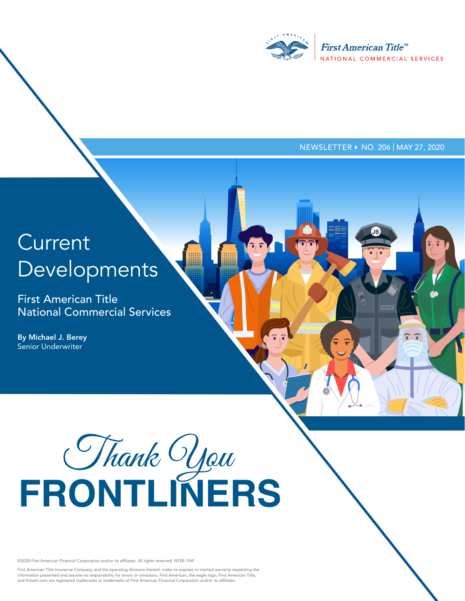

NEWSLETTER ▶ NO. 206 | MAY 27, 2020

 $\widehat{\bullet}$  ,  $\widehat{\bullet}$ 

# **Current** Developments

First American Title National Commercial Services

By Michael J. Berey Senior Underwriter

# FRONTLINERS

©2020 First American Financial Corporation and/or its affiliates. All rights reserved. NYSE: FAF

First American Title Insurance Company, and the operating divisions thereof, make no express or implied warranty respecting the<br>information presented and assume no responsibility for errors or omissions. First American, th and firstam.com are registered trademarks or trademarks of First American Financial Corporation and/or its affiliates.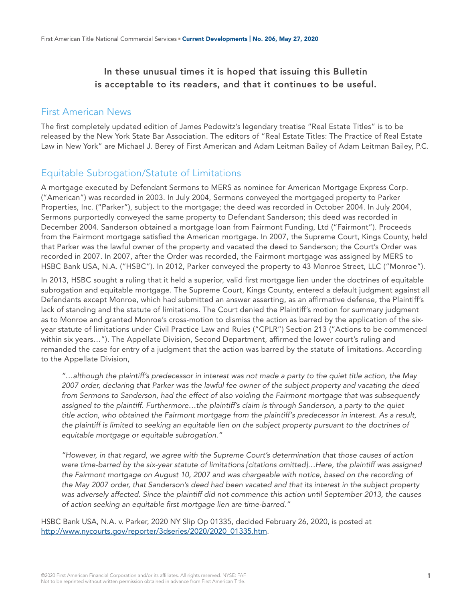#### In these unusual times it is hoped that issuing this Bulletin is acceptable to its readers, and that it continues to be useful.

#### First American News

The first completely updated edition of James Pedowitz's legendary treatise "Real Estate Titles" is to be released by the New York State Bar Association. The editors of "Real Estate Titles: The Practice of Real Estate Law in New York" are Michael J. Berey of First American and Adam Leitman Bailey of Adam Leitman Bailey, P.C.

#### Equitable Subrogation/Statute of Limitations

A mortgage executed by Defendant Sermons to MERS as nominee for American Mortgage Express Corp. ("American") was recorded in 2003. In July 2004, Sermons conveyed the mortgaged property to Parker Properties, Inc. ("Parker"), subject to the mortgage; the deed was recorded in October 2004. In July 2004, Sermons purportedly conveyed the same property to Defendant Sanderson; this deed was recorded in December 2004. Sanderson obtained a mortgage loan from Fairmont Funding, Ltd ("Fairmont"). Proceeds from the Fairmont mortgage satisfied the American mortgage. In 2007, the Supreme Court, Kings County, held that Parker was the lawful owner of the property and vacated the deed to Sanderson; the Court's Order was recorded in 2007. In 2007, after the Order was recorded, the Fairmont mortgage was assigned by MERS to HSBC Bank USA, N.A. ("HSBC"). In 2012, Parker conveyed the property to 43 Monroe Street, LLC ("Monroe").

In 2013, HSBC sought a ruling that it held a superior, valid first mortgage lien under the doctrines of equitable subrogation and equitable mortgage. The Supreme Court, Kings County, entered a default judgment against all Defendants except Monroe, which had submitted an answer asserting, as an affirmative defense, the Plaintiff's lack of standing and the statute of limitations. The Court denied the Plaintiff's motion for summary judgment as to Monroe and granted Monroe's cross-motion to dismiss the action as barred by the application of the sixyear statute of limitations under Civil Practice Law and Rules ("CPLR") Section 213 ("Actions to be commenced within six years…"). The Appellate Division, Second Department, affirmed the lower court's ruling and remanded the case for entry of a judgment that the action was barred by the statute of limitations. According to the Appellate Division,

*"…although the plaintiff's predecessor in interest was not made a party to the quiet title action, the May 2007 order, declaring that Parker was the lawful fee owner of the subject property and vacating the deed from Sermons to Sanderson, had the effect of also voiding the Fairmont mortgage that was subsequently*  assigned to the plaintiff. Furthermore...the plaintiff's claim is through Sanderson, a party to the quiet *title action, who obtained the Fairmont mortgage from the plaintiff's predecessor in interest. As a result, the plaintiff is limited to seeking an equitable lien on the subject property pursuant to the doctrines of equitable mortgage or equitable subrogation."*

*"However, in that regard, we agree with the Supreme Court's determination that those causes of action were time-barred by the six-year statute of limitations [citations omitted]…Here, the plaintiff was assigned the Fairmont mortgage on August 10, 2007 and was chargeable with notice, based on the recording of the May 2007 order, that Sanderson's deed had been vacated and that its interest in the subject property was adversely affected. Since the plaintiff did not commence this action until September 2013, the causes of action seeking an equitable first mortgage lien are time-barred."*

HSBC Bank USA, N.A. v. Parker, 2020 NY Slip Op 01335, decided February 26, 2020, is posted at [http://www.nycourts.gov/reporter/3dseries/2020/2020\\_01335.htm.](http://www.nycourts.gov/reporter/3dseries/2020/2020_01335.htm)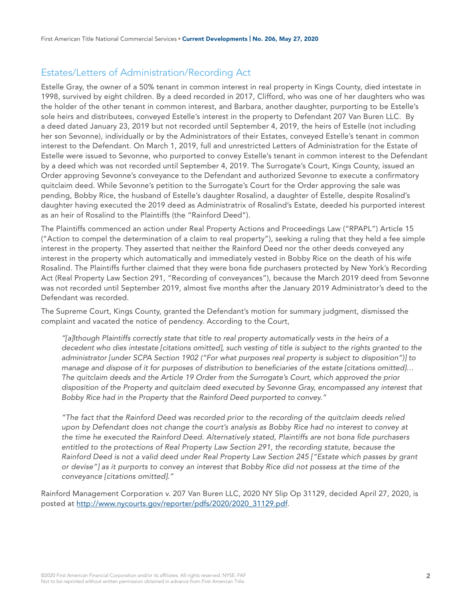#### Estates/Letters of Administration/Recording Act

Estelle Gray, the owner of a 50% tenant in common interest in real property in Kings County, died intestate in 1998, survived by eight children. By a deed recorded in 2017, Clifford, who was one of her daughters who was the holder of the other tenant in common interest, and Barbara, another daughter, purporting to be Estelle's sole heirs and distributees, conveyed Estelle's interest in the property to Defendant 207 Van Buren LLC. By a deed dated January 23, 2019 but not recorded until September 4, 2019, the heirs of Estelle (not including her son Sevonne), individually or by the Administrators of their Estates, conveyed Estelle's tenant in common interest to the Defendant. On March 1, 2019, full and unrestricted Letters of Administration for the Estate of Estelle were issued to Sevonne, who purported to convey Estelle's tenant in common interest to the Defendant by a deed which was not recorded until September 4, 2019. The Surrogate's Court, Kings County, issued an Order approving Sevonne's conveyance to the Defendant and authorized Sevonne to execute a confirmatory quitclaim deed. While Sevonne's petition to the Surrogate's Court for the Order approving the sale was pending, Bobby Rice, the husband of Estelle's daughter Rosalind, a daughter of Estelle, despite Rosalind's daughter having executed the 2019 deed as Administratrix of Rosalind's Estate, deeded his purported interest as an heir of Rosalind to the Plaintiffs (the "Rainford Deed").

The Plaintiffs commenced an action under Real Property Actions and Proceedings Law ("RPAPL") Article 15 ("Action to compel the determination of a claim to real property"), seeking a ruling that they held a fee simple interest in the property. They asserted that neither the Rainford Deed nor the other deeds conveyed any interest in the property which automatically and immediately vested in Bobby Rice on the death of his wife Rosalind. The Plaintiffs further claimed that they were bona fide purchasers protected by New York's Recording Act (Real Property Law Section 291, "Recording of conveyances"), because the March 2019 deed from Sevonne was not recorded until September 2019, almost five months after the January 2019 Administrator's deed to the Defendant was recorded.

The Supreme Court, Kings County, granted the Defendant's motion for summary judgment, dismissed the complaint and vacated the notice of pendency. According to the Court,

*"[a]lthough Plaintiffs correctly state that title to real property automatically vests in the heirs of a*  decedent who dies intestate [citations omitted], such vesting of title is subject to the rights granted to the *administrator [under SCPA Section 1902 ("For what purposes real property is subject to disposition")] to manage and dispose of it for purposes of distribution to beneficiaries of the estate [citations omitted]… The quitclaim deeds and the Article 19 Order from the Surrogate's Court, which approved the prior disposition of the Property and quitclaim deed executed by Sevonne Gray, encompassed any interest that Bobby Rice had in the Property that the Rainford Deed purported to convey."*

*"The fact that the Rainford Deed was recorded prior to the recording of the quitclaim deeds relied upon by Defendant does not change the court's analysis as Bobby Rice had no interest to convey at the time he executed the Rainford Deed. Alternatively stated, Plaintiffs are not bona fide purchasers*  entitled to the protections of Real Property Law Section 291, the recording statute, because the *Rainford Deed is not a valid deed under Real Property Law Section 245 ["Estate which passes by grant or devise"] as it purports to convey an interest that Bobby Rice did not possess at the time of the conveyance [citations omitted]."*

Rainford Management Corporation v. 207 Van Buren LLC, 2020 NY Slip Op 31129, decided April 27, 2020, is posted at [http://www.nycourts.gov/reporter/pdfs/2020/2020\\_31129.pdf.](http://www.nycourts.gov/reporter/pdfs/2020/2020_31129.pdf)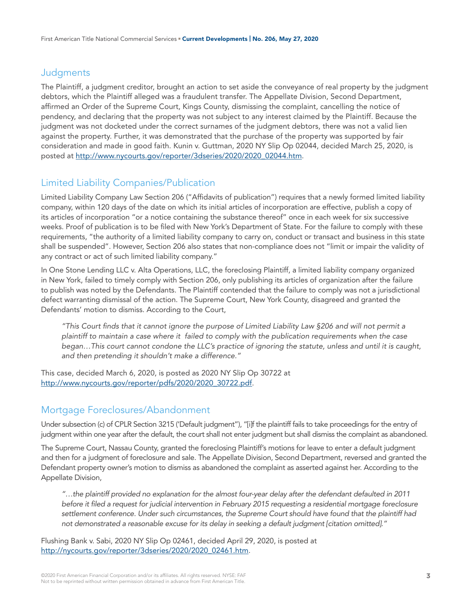#### **Judgments**

The Plaintiff, a judgment creditor, brought an action to set aside the conveyance of real property by the judgment debtors, which the Plaintiff alleged was a fraudulent transfer. The Appellate Division, Second Department, affirmed an Order of the Supreme Court, Kings County, dismissing the complaint, cancelling the notice of pendency, and declaring that the property was not subject to any interest claimed by the Plaintiff. Because the judgment was not docketed under the correct surnames of the judgment debtors, there was not a valid lien against the property. Further, it was demonstrated that the purchase of the property was supported by fair consideration and made in good faith. Kunin v. Guttman, 2020 NY Slip Op 02044, decided March 25, 2020, is posted at [http://www.nycourts.gov/reporter/3dseries/2020/2020\\_02044.htm.](http://www.nycourts.gov/reporter/3dseries/2020/2020_02044.htm)

# Limited Liability Companies/Publication

Limited Liability Company Law Section 206 ("Affidavits of publication") requires that a newly formed limited liability company, within 120 days of the date on which its initial articles of incorporation are effective, publish a copy of its articles of incorporation "or a notice containing the substance thereof" once in each week for six successive weeks. Proof of publication is to be filed with New York's Department of State. For the failure to comply with these requirements, "the authority of a limited liability company to carry on, conduct or transact and business in this state shall be suspended". However, Section 206 also states that non-compliance does not "limit or impair the validity of any contract or act of such limited liability company."

In One Stone Lending LLC v. Alta Operations, LLC, the foreclosing Plaintiff, a limited liability company organized in New York, failed to timely comply with Section 206, only publishing its articles of organization after the failure to publish was noted by the Defendants. The Plaintiff contended that the failure to comply was not a jurisdictional defect warranting dismissal of the action. The Supreme Court, New York County, disagreed and granted the Defendants' motion to dismiss. According to the Court,

*"This Court finds that it cannot ignore the purpose of Limited Liability Law §206 and will not permit a plaintiff to maintain a case where it failed to comply with the publication requirements when the case began…This court cannot condone the LLC's practice of ignoring the statute, unless and until it is caught, and then pretending it shouldn't make a difference."*

This case, decided March 6, 2020, is posted as 2020 NY Slip Op 30722 at [http://www.nycourts.gov/reporter/pdfs/2020/2020\\_30722.pdf.](http://www.nycourts.gov/reporter/pdfs/2020/2020_30722.pdf)

# Mortgage Foreclosures/Abandonment

Under subsection (c) of CPLR Section 3215 ('Default judgment"), "[i]f the plaintiff fails to take proceedings for the entry of judgment within one year after the default, the court shall not enter judgment but shall dismiss the complaint as abandoned.

The Supreme Court, Nassau County, granted the foreclosing Plaintiff's motions for leave to enter a default judgment and then for a judgment of foreclosure and sale. The Appellate Division, Second Department, reversed and granted the Defendant property owner's motion to dismiss as abandoned the complaint as asserted against her. According to the Appellate Division,

*"…the plaintiff provided no explanation for the almost four-year delay after the defendant defaulted in 2011 before it filed a request for judicial intervention in February 2015 requesting a residential mortgage foreclosure settlement conference. Under such circumstances, the Supreme Court should have found that the plaintiff had not demonstrated a reasonable excuse for its delay in seeking a default judgment [citation omitted]."*

Flushing Bank v. Sabi, 2020 NY Slip Op 02461, decided April 29, 2020, is posted at [http://nycourts.gov/reporter/3dseries/2020/2020\\_02461.htm](http://nycourts.gov/reporter/3dseries/2020/2020_02461.htm).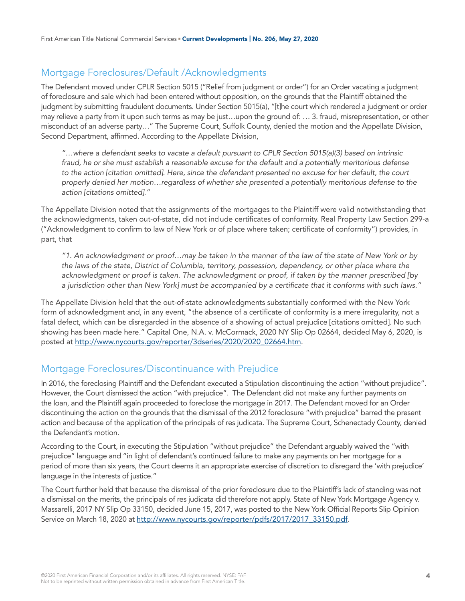# Mortgage Foreclosures/Default /Acknowledgments

The Defendant moved under CPLR Section 5015 ("Relief from judgment or order") for an Order vacating a judgment of foreclosure and sale which had been entered without opposition, on the grounds that the Plaintiff obtained the judgment by submitting fraudulent documents. Under Section 5015(a), "[t]he court which rendered a judgment or order may relieve a party from it upon such terms as may be just…upon the ground of: … 3. fraud, misrepresentation, or other misconduct of an adverse party…" The Supreme Court, Suffolk County, denied the motion and the Appellate Division, Second Department, affirmed. According to the Appellate Division,

*"…where a defendant seeks to vacate a default pursuant to CPLR Section 5015(a)(3) based on intrinsic fraud, he or she must establish a reasonable excuse for the default and a potentially meritorious defense to the action [citation omitted]. Here, since the defendant presented no excuse for her default, the court properly denied her motion…regardless of whether she presented a potentially meritorious defense to the action [citations omitted]."*

The Appellate Division noted that the assignments of the mortgages to the Plaintiff were valid notwithstanding that the acknowledgments, taken out-of-state, did not include certificates of conformity. Real Property Law Section 299-a ("Acknowledgment to confirm to law of New York or of place where taken; certificate of conformity") provides, in part, that

*"1. An acknowledgment or proof…may be taken in the manner of the law of the state of New York or by the laws of the state, District of Columbia, territory, possession, dependency, or other place where the acknowledgment or proof is taken. The acknowledgment or proof, if taken by the manner prescribed [by a jurisdiction other than New York] must be accompanied by a certificate that it conforms with such laws."*

The Appellate Division held that the out-of-state acknowledgments substantially conformed with the New York form of acknowledgment and, in any event, "the absence of a certificate of conformity is a mere irregularity, not a fatal defect, which can be disregarded in the absence of a showing of actual prejudice [citations omitted]. No such showing has been made here." Capital One, N.A. v. McCormack, 2020 NY Slip Op 02664, decided May 6, 2020, is posted at [http://www.nycourts.gov/reporter/3dseries/2020/2020\\_02664.htm.](http://www.nycourts.gov/reporter/3dseries/2020/2020_02664.htm)

#### Mortgage Foreclosures/Discontinuance with Prejudice

In 2016, the foreclosing Plaintiff and the Defendant executed a Stipulation discontinuing the action "without prejudice". However, the Court dismissed the action "with prejudice". The Defendant did not make any further payments on the loan, and the Plaintiff again proceeded to foreclose the mortgage in 2017. The Defendant moved for an Order discontinuing the action on the grounds that the dismissal of the 2012 foreclosure "with prejudice" barred the present action and because of the application of the principals of res judicata. The Supreme Court, Schenectady County, denied the Defendant's motion.

According to the Court, in executing the Stipulation "without prejudice" the Defendant arguably waived the "with prejudice" language and "in light of defendant's continued failure to make any payments on her mortgage for a period of more than six years, the Court deems it an appropriate exercise of discretion to disregard the 'with prejudice' language in the interests of justice."

The Court further held that because the dismissal of the prior foreclosure due to the Plaintiff's lack of standing was not a dismissal on the merits, the principals of res judicata did therefore not apply. State of New York Mortgage Agency v. Massarelli, 2017 NY Slip Op 33150, decided June 15, 2017, was posted to the New York Official Reports Slip Opinion Service on March 18, 2020 at [http://www.nycourts.gov/reporter/pdfs/2017/2017\\_33150.pdf.](http://www.nycourts.gov/reporter/pdfs/2017/2017_33150.pdf)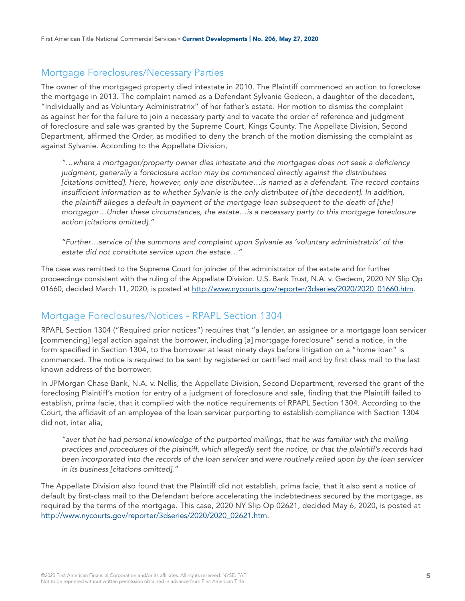# Mortgage Foreclosures/Necessary Parties

The owner of the mortgaged property died intestate in 2010. The Plaintiff commenced an action to foreclose the mortgage in 2013. The complaint named as a Defendant Sylvanie Gedeon, a daughter of the decedent, "Individually and as Voluntary Administratrix" of her father's estate. Her motion to dismiss the complaint as against her for the failure to join a necessary party and to vacate the order of reference and judgment of foreclosure and sale was granted by the Supreme Court, Kings County. The Appellate Division, Second Department, affirmed the Order, as modified to deny the branch of the motion dismissing the complaint as against Sylvanie. According to the Appellate Division,

*"…where a mortgagor/property owner dies intestate and the mortgagee does not seek a deficiency judgment, generally a foreclosure action may be commenced directly against the distributees [citations omitted]. Here, however, only one distributee…is named as a defendant. The record contains insufficient information as to whether Sylvanie is the only distributee of [the decedent]. In addition, the plaintiff alleges a default in payment of the mortgage loan subsequent to the death of [the] mortgagor…Under these circumstances, the estate…is a necessary party to this mortgage foreclosure action [citations omitted]."*

*"Further…service of the summons and complaint upon Sylvanie as 'voluntary administratrix' of the estate did not constitute service upon the estate…"*

The case was remitted to the Supreme Court for joinder of the administrator of the estate and for further proceedings consistent with the ruling of the Appellate Division. U.S. Bank Trust, N.A. v. Gedeon, 2020 NY Slip Op 01660, decided March 11, 2020, is posted at [http://www.nycourts.gov/reporter/3dseries/2020/2020\\_01660.htm.](http://www.nycourts.gov/reporter/3dseries/2020/2020_01660.htm)

#### Mortgage Foreclosures/Notices - RPAPL Section 1304

RPAPL Section 1304 ("Required prior notices") requires that "a lender, an assignee or a mortgage loan servicer [commencing] legal action against the borrower, including [a] mortgage foreclosure" send a notice, in the form specified in Section 1304, to the borrower at least ninety days before litigation on a "home loan" is commenced. The notice is required to be sent by registered or certified mail and by first class mail to the last known address of the borrower.

In JPMorgan Chase Bank, N.A. v. Nellis, the Appellate Division, Second Department, reversed the grant of the foreclosing Plaintiff's motion for entry of a judgment of foreclosure and sale, finding that the Plaintiff failed to establish, prima facie, that it complied with the notice requirements of RPAPL Section 1304. According to the Court, the affidavit of an employee of the loan servicer purporting to establish compliance with Section 1304 did not, inter alia,

*"aver that he had personal knowledge of the purported mailings, that he was familiar with the mailing practices and procedures of the plaintiff, which allegedly sent the notice, or that the plaintiff's records had been incorporated into the records of the loan servicer and were routinely relied upon by the loan servicer in its business [citations omitted]."*

The Appellate Division also found that the Plaintiff did not establish, prima facie, that it also sent a notice of default by first-class mail to the Defendant before accelerating the indebtedness secured by the mortgage, as required by the terms of the mortgage. This case, 2020 NY Slip Op 02621, decided May 6, 2020, is posted at [http://www.nycourts.gov/reporter/3dseries/2020/2020\\_02621.htm.](http://www.nycourts.gov/reporter/3dseries/2020/2020_02621.htm)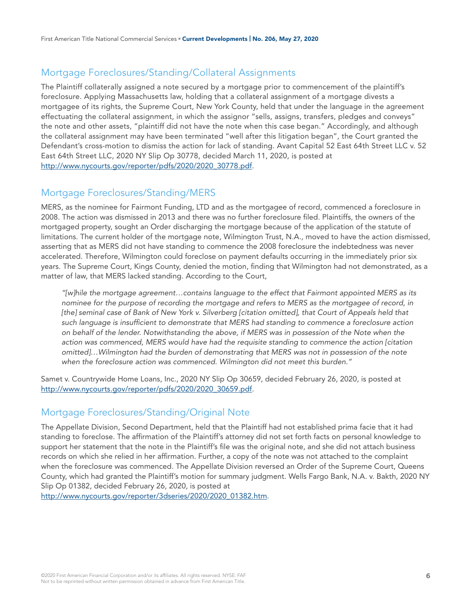## Mortgage Foreclosures/Standing/Collateral Assignments

The Plaintiff collaterally assigned a note secured by a mortgage prior to commencement of the plaintiff's foreclosure. Applying Massachusetts law, holding that a collateral assignment of a mortgage divests a mortgagee of its rights, the Supreme Court, New York County, held that under the language in the agreement effectuating the collateral assignment, in which the assignor "sells, assigns, transfers, pledges and conveys" the note and other assets, "plaintiff did not have the note when this case began." Accordingly, and although the collateral assignment may have been terminated "well after this litigation began", the Court granted the Defendant's cross-motion to dismiss the action for lack of standing. Avant Capital 52 East 64th Street LLC v. 52 East 64th Street LLC, 2020 NY Slip Op 30778, decided March 11, 2020, is posted at [http://www.nycourts.gov/reporter/pdfs/2020/2020\\_30778.pdf.](http://www.nycourts.gov/reporter/pdfs/2020/2020_30778.pdf)

#### Mortgage Foreclosures/Standing/MERS

MERS, as the nominee for Fairmont Funding, LTD and as the mortgagee of record, commenced a foreclosure in 2008. The action was dismissed in 2013 and there was no further foreclosure filed. Plaintiffs, the owners of the mortgaged property, sought an Order discharging the mortgage because of the application of the statute of limitations. The current holder of the mortgage note, Wilmington Trust, N.A., moved to have the action dismissed, asserting that as MERS did not have standing to commence the 2008 foreclosure the indebtedness was never accelerated. Therefore, Wilmington could foreclose on payment defaults occurring in the immediately prior six years. The Supreme Court, Kings County, denied the motion, finding that Wilmington had not demonstrated, as a matter of law, that MERS lacked standing. According to the Court,

*"[w]hile the mortgage agreement…contains language to the effect that Fairmont appointed MERS as its nominee for the purpose of recording the mortgage and refers to MERS as the mortgagee of record, in [the] seminal case of Bank of New York v. Silverberg [citation omitted], that Court of Appeals held that such language is insufficient to demonstrate that MERS had standing to commence a foreclosure action on behalf of the lender. Notwithstanding the above, if MERS was in possession of the Note when the*  action was commenced, MERS would have had the requisite standing to commence the action *[citation omitted]…Wilmington had the burden of demonstrating that MERS was not in possession of the note when the foreclosure action was commenced. Wilmington did not meet this burden."*

Samet v. Countrywide Home Loans, Inc., 2020 NY Slip Op 30659, decided February 26, 2020, is posted at [http://www.nycourts.gov/reporter/pdfs/2020/2020\\_30659.pdf.](http://www.nycourts.gov/reporter/pdfs/2020/2020_30659.pdf)

#### Mortgage Foreclosures/Standing/Original Note

The Appellate Division, Second Department, held that the Plaintiff had not established prima facie that it had standing to foreclose. The affirmation of the Plaintiff's attorney did not set forth facts on personal knowledge to support her statement that the note in the Plaintiff's file was the original note, and she did not attach business records on which she relied in her affirmation. Further, a copy of the note was not attached to the complaint when the foreclosure was commenced. The Appellate Division reversed an Order of the Supreme Court, Queens County, which had granted the Plaintiff's motion for summary judgment. Wells Fargo Bank, N.A. v. Bakth, 2020 NY Slip Op 01382, decided February 26, 2020, is posted at

[http://www.nycourts.gov/reporter/3dseries/2020/2020\\_01382.htm.](http://www.nycourts.gov/reporter/3dseries/2020/2020_01382.htm)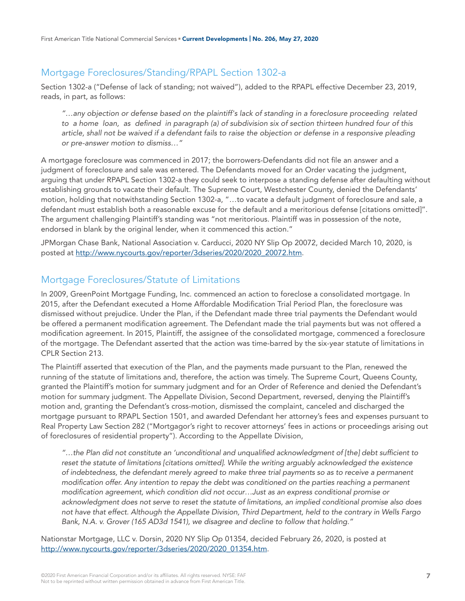## Mortgage Foreclosures/Standing/RPAPL Section 1302-a

Section 1302-a ("Defense of lack of standing; not waived"), added to the RPAPL effective December 23, 2019, reads, in part, as follows:

*"…any objection or defense based on the plaintiff's lack of standing in a foreclosure proceeding related to a home loan, as defined in paragraph (a) of subdivision six of section thirteen hundred four of this article, shall not be waived if a defendant fails to raise the objection or defense in a responsive pleading or pre-answer motion to dismiss…"* 

A mortgage foreclosure was commenced in 2017; the borrowers-Defendants did not file an answer and a judgment of foreclosure and sale was entered. The Defendants moved for an Order vacating the judgment, arguing that under RPAPL Section 1302-a they could seek to interpose a standing defense after defaulting without establishing grounds to vacate their default. The Supreme Court, Westchester County, denied the Defendants' motion, holding that notwithstanding Section 1302-a, "…to vacate a default judgment of foreclosure and sale, a defendant must establish both a reasonable excuse for the default and a meritorious defense [citations omitted]". The argument challenging Plaintiff's standing was "not meritorious. Plaintiff was in possession of the note, endorsed in blank by the original lender, when it commenced this action."

JPMorgan Chase Bank, National Association v. Carducci, 2020 NY Slip Op 20072, decided March 10, 2020, is posted at [http://www.nycourts.gov/reporter/3dseries/2020/2020\\_20072.htm.](http://www.nycourts.gov/reporter/3dseries/2020/2020_20072.htm)

#### Mortgage Foreclosures/Statute of Limitations

In 2009, GreenPoint Mortgage Funding, Inc. commenced an action to foreclose a consolidated mortgage. In 2015, after the Defendant executed a Home Affordable Modification Trial Period Plan, the foreclosure was dismissed without prejudice. Under the Plan, if the Defendant made three trial payments the Defendant would be offered a permanent modification agreement. The Defendant made the trial payments but was not offered a modification agreement. In 2015, Plaintiff, the assignee of the consolidated mortgage, commenced a foreclosure of the mortgage. The Defendant asserted that the action was time-barred by the six-year statute of limitations in CPLR Section 213.

The Plaintiff asserted that execution of the Plan, and the payments made pursuant to the Plan, renewed the running of the statute of limitations and, therefore, the action was timely. The Supreme Court, Queens County, granted the Plaintiff's motion for summary judgment and for an Order of Reference and denied the Defendant's motion for summary judgment. The Appellate Division, Second Department, reversed, denying the Plaintiff's motion and, granting the Defendant's cross-motion, dismissed the complaint, canceled and discharged the mortgage pursuant to RPAPL Section 1501, and awarded Defendant her attorney's fees and expenses pursuant to Real Property Law Section 282 ("Mortgagor's right to recover attorneys' fees in actions or proceedings arising out of foreclosures of residential property"). According to the Appellate Division,

*"…the Plan did not constitute an 'unconditional and unqualified acknowledgment of [the] debt sufficient to*  reset the statute of limitations *[citations omitted]*. While the writing arguably acknowledged the existence *of indebtedness, the defendant merely agreed to make three trial payments so as to receive a permanent modification offer. Any intention to repay the debt was conditioned on the parties reaching a permanent modification agreement, which condition did not occur…Just as an express conditional promise or acknowledgment does not serve to reset the statute of limitations, an implied conditional promise also does not have that effect. Although the Appellate Division, Third Department, held to the contrary in Wells Fargo Bank, N.A. v. Grover (165 AD3d 1541), we disagree and decline to follow that holding."*

Nationstar Mortgage, LLC v. Dorsin, 2020 NY Slip Op 01354, decided February 26, 2020, is posted at [http://www.nycourts.gov/reporter/3dseries/2020/2020\\_01354.htm.](http://www.nycourts.gov/reporter/3dseries/2020/2020_01354.htm)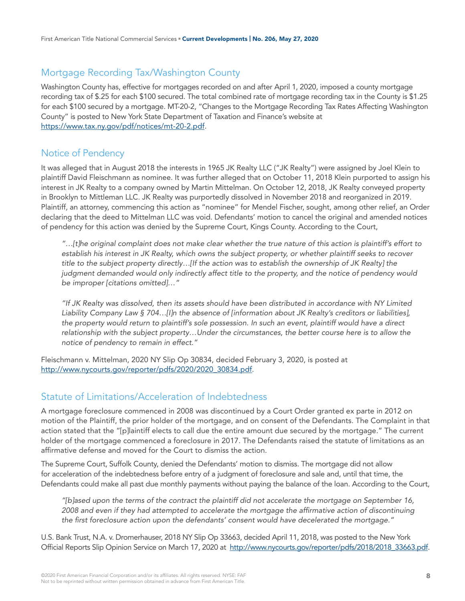# Mortgage Recording Tax/Washington County

Washington County has, effective for mortgages recorded on and after April 1, 2020, imposed a county mortgage recording tax of \$.25 for each \$100 secured. The total combined rate of mortgage recording tax in the County is \$1.25 for each \$100 secured by a mortgage. MT-20-2, "Changes to the Mortgage Recording Tax Rates Affecting Washington County" is posted to New York State Department of Taxation and Finance's website at <https://www.tax.ny.gov/pdf/notices/mt-20-2.pdf>.

#### Notice of Pendency

It was alleged that in August 2018 the interests in 1965 JK Realty LLC ("JK Realty") were assigned by Joel Klein to plaintiff David Fleischmann as nominee. It was further alleged that on October 11, 2018 Klein purported to assign his interest in JK Realty to a company owned by Martin Mittelman. On October 12, 2018, JK Realty conveyed property in Brooklyn to Mittleman LLC. JK Realty was purportedly dissolved in November 2018 and reorganized in 2019. Plaintiff, an attorney, commencing this action as "nominee" for Mendel Fischer, sought, among other relief, an Order declaring that the deed to Mittelman LLC was void. Defendants' motion to cancel the original and amended notices of pendency for this action was denied by the Supreme Court, Kings County. According to the Court,

*"…[t]he original complaint does not make clear whether the true nature of this action is plaintiff's effort to establish his interest in JK Realty, which owns the subject property, or whether plaintiff seeks to recover title to the subject property directly…[If the action was to establish the ownership of JK Realty] the judgment demanded would only indirectly affect title to the property, and the notice of pendency would be improper [citations omitted]…"*

*"If JK Realty was dissolved, then its assets should have been distributed in accordance with NY Limited Liability Company Law § 704…[I]n the absence of [information about JK Realty's creditors or liabilities], the property would return to plaintiff's sole possession. In such an event, plaintiff would have a direct relationship with the subject property…Under the circumstances, the better course here is to allow the notice of pendency to remain in effect."*

Fleischmann v. Mittelman, 2020 NY Slip Op 30834, decided February 3, 2020, is posted at [http://www.nycourts.gov/reporter/pdfs/2020/2020\\_30834.pdf.](http://www.nycourts.gov/reporter/pdfs/2020/2020_30834.pdf)

#### Statute of Limitations/Acceleration of Indebtedness

A mortgage foreclosure commenced in 2008 was discontinued by a Court Order granted ex parte in 2012 on motion of the Plaintiff, the prior holder of the mortgage, and on consent of the Defendants. The Complaint in that action stated that the "[p]laintiff elects to call due the entire amount due secured by the mortgage." The current holder of the mortgage commenced a foreclosure in 2017. The Defendants raised the statute of limitations as an affirmative defense and moved for the Court to dismiss the action.

The Supreme Court, Suffolk County, denied the Defendants' motion to dismiss. The mortgage did not allow for acceleration of the indebtedness before entry of a judgment of foreclosure and sale and, until that time, the Defendants could make all past due monthly payments without paying the balance of the loan. According to the Court,

*"[b]ased upon the terms of the contract the plaintiff did not accelerate the mortgage on September 16, 2008 and even if they had attempted to accelerate the mortgage the affirmative action of discontinuing the first foreclosure action upon the defendants' consent would have decelerated the mortgage."*

U.S. Bank Trust, N.A. v. Dromerhauser, 2018 NY Slip Op 33663, decided April 11, 2018, was posted to the New York Official Reports Slip Opinion Service on March 17, 2020 at [http://www.nycourts.gov/reporter/pdfs/2018/2018\\_33663.pdf.](http://www.nycourts.gov/reporter/pdfs/2018/2018_33663.pdf)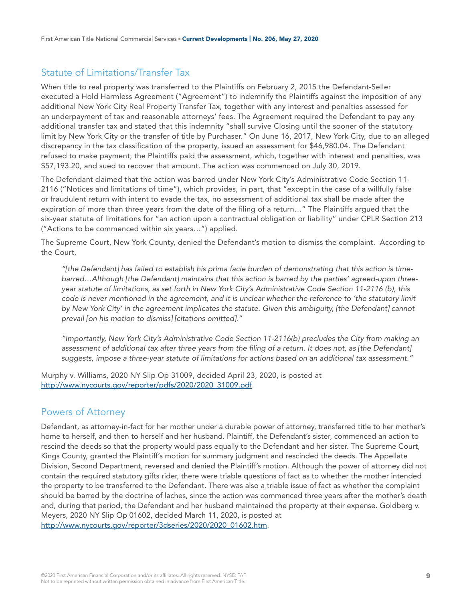# Statute of Limitations/Transfer Tax

When title to real property was transferred to the Plaintiffs on February 2, 2015 the Defendant-Seller executed a Hold Harmless Agreement ("Agreement") to indemnify the Plaintiffs against the imposition of any additional New York City Real Property Transfer Tax, together with any interest and penalties assessed for an underpayment of tax and reasonable attorneys' fees. The Agreement required the Defendant to pay any additional transfer tax and stated that this indemnity "shall survive Closing until the sooner of the statutory limit by New York City or the transfer of title by Purchaser." On June 16, 2017, New York City, due to an alleged discrepancy in the tax classification of the property, issued an assessment for \$46,980.04. The Defendant refused to make payment; the Plaintiffs paid the assessment, which, together with interest and penalties, was \$57,193.20, and sued to recover that amount. The action was commenced on July 30, 2019.

The Defendant claimed that the action was barred under New York City's Administrative Code Section 11- 2116 ("Notices and limitations of time"), which provides, in part, that "except in the case of a willfully false or fraudulent return with intent to evade the tax, no assessment of additional tax shall be made after the expiration of more than three years from the date of the filing of a return…" The Plaintiffs argued that the six-year statute of limitations for "an action upon a contractual obligation or liability" under CPLR Section 213 ("Actions to be commenced within six years…") applied.

The Supreme Court, New York County, denied the Defendant's motion to dismiss the complaint. According to the Court,

*"[the Defendant] has failed to establish his prima facie burden of demonstrating that this action is timebarred…Although [the Defendant] maintains that this action is barred by the parties' agreed-upon threeyear statute of limitations, as set forth in New York City's Administrative Code Section 11-2116 (b), this code is never mentioned in the agreement, and it is unclear whether the reference to 'the statutory limit by New York City' in the agreement implicates the statute. Given this ambiguity, [the Defendant] cannot prevail [on his motion to dismiss] [citations omitted]."*

*"Importantly, New York City's Administrative Code Section 11-2116(b) precludes the City from making an assessment of additional tax after three years from the filing of a return. It does not, as [the Defendant] suggests, impose a three-year statute of limitations for actions based on an additional tax assessment."*

Murphy v. Williams, 2020 NY Slip Op 31009, decided April 23, 2020, is posted at [http://www.nycourts.gov/reporter/pdfs/2020/2020\\_31009.pdf.](http://www.nycourts.gov/reporter/pdfs/2020/2020_31009.pdf)

#### Powers of Attorney

Defendant, as attorney-in-fact for her mother under a durable power of attorney, transferred title to her mother's home to herself, and then to herself and her husband. Plaintiff, the Defendant's sister, commenced an action to rescind the deeds so that the property would pass equally to the Defendant and her sister. The Supreme Court, Kings County, granted the Plaintiff's motion for summary judgment and rescinded the deeds. The Appellate Division, Second Department, reversed and denied the Plaintiff's motion. Although the power of attorney did not contain the required statutory gifts rider, there were triable questions of fact as to whether the mother intended the property to be transferred to the Defendant. There was also a triable issue of fact as whether the complaint should be barred by the doctrine of laches, since the action was commenced three years after the mother's death and, during that period, the Defendant and her husband maintained the property at their expense. Goldberg v. Meyers, 2020 NY Slip Op 01602, decided March 11, 2020, is posted at [http://www.nycourts.gov/reporter/3dseries/2020/2020\\_01602.htm.](http://www.nycourts.gov/reporter/3dseries/2020/2020_01602.htm)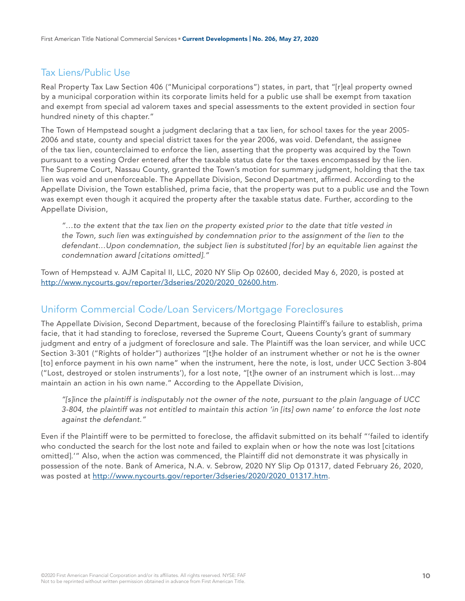# Tax Liens/Public Use

Real Property Tax Law Section 406 ("Municipal corporations") states, in part, that "[r]eal property owned by a municipal corporation within its corporate limits held for a public use shall be exempt from taxation and exempt from special ad valorem taxes and special assessments to the extent provided in section four hundred ninety of this chapter."

The Town of Hempstead sought a judgment declaring that a tax lien, for school taxes for the year 2005- 2006 and state, county and special district taxes for the year 2006, was void. Defendant, the assignee of the tax lien, counterclaimed to enforce the lien, asserting that the property was acquired by the Town pursuant to a vesting Order entered after the taxable status date for the taxes encompassed by the lien. The Supreme Court, Nassau County, granted the Town's motion for summary judgment, holding that the tax lien was void and unenforceable. The Appellate Division, Second Department, affirmed. According to the Appellate Division, the Town established, prima facie, that the property was put to a public use and the Town was exempt even though it acquired the property after the taxable status date. Further, according to the Appellate Division,

*"…to the extent that the tax lien on the property existed prior to the date that title vested in*  the Town, such lien was extinguished by condemnation prior to the assignment of the lien to the *defendant…Upon condemnation, the subject lien is substituted [for] by an equitable lien against the condemnation award [citations omitted]."*

Town of Hempstead v. AJM Capital II, LLC, 2020 NY Slip Op 02600, decided May 6, 2020, is posted at [http://www.nycourts.gov/reporter/3dseries/2020/2020\\_02600.htm.](http://www.nycourts.gov/reporter/3dseries/2020/2020_02600.htm)

#### Uniform Commercial Code/Loan Servicers/Mortgage Foreclosures

The Appellate Division, Second Department, because of the foreclosing Plaintiff's failure to establish, prima facie, that it had standing to foreclose, reversed the Supreme Court, Queens County's grant of summary judgment and entry of a judgment of foreclosure and sale. The Plaintiff was the loan servicer, and while UCC Section 3-301 ("Rights of holder") authorizes "[t]he holder of an instrument whether or not he is the owner [to] enforce payment in his own name" when the instrument, here the note, is lost, under UCC Section 3-804 ("Lost, destroyed or stolen instruments'), for a lost note, "[t]he owner of an instrument which is lost…may maintain an action in his own name." According to the Appellate Division,

*"[s]ince the plaintiff is indisputably not the owner of the note, pursuant to the plain language of UCC 3-804, the plaintiff was not entitled to maintain this action 'in [its] own name' to enforce the lost note against the defendant."*

Even if the Plaintiff were to be permitted to foreclose, the affidavit submitted on its behalf "'failed to identify who conducted the search for the lost note and failed to explain when or how the note was lost [citations omitted].'" Also, when the action was commenced, the Plaintiff did not demonstrate it was physically in possession of the note. Bank of America, N.A. v. Sebrow, 2020 NY Slip Op 01317, dated February 26, 2020, was posted at [http://www.nycourts.gov/reporter/3dseries/2020/2020\\_01317.htm](http://www.nycourts.gov/reporter/3dseries/2020/2020_01317.htm).